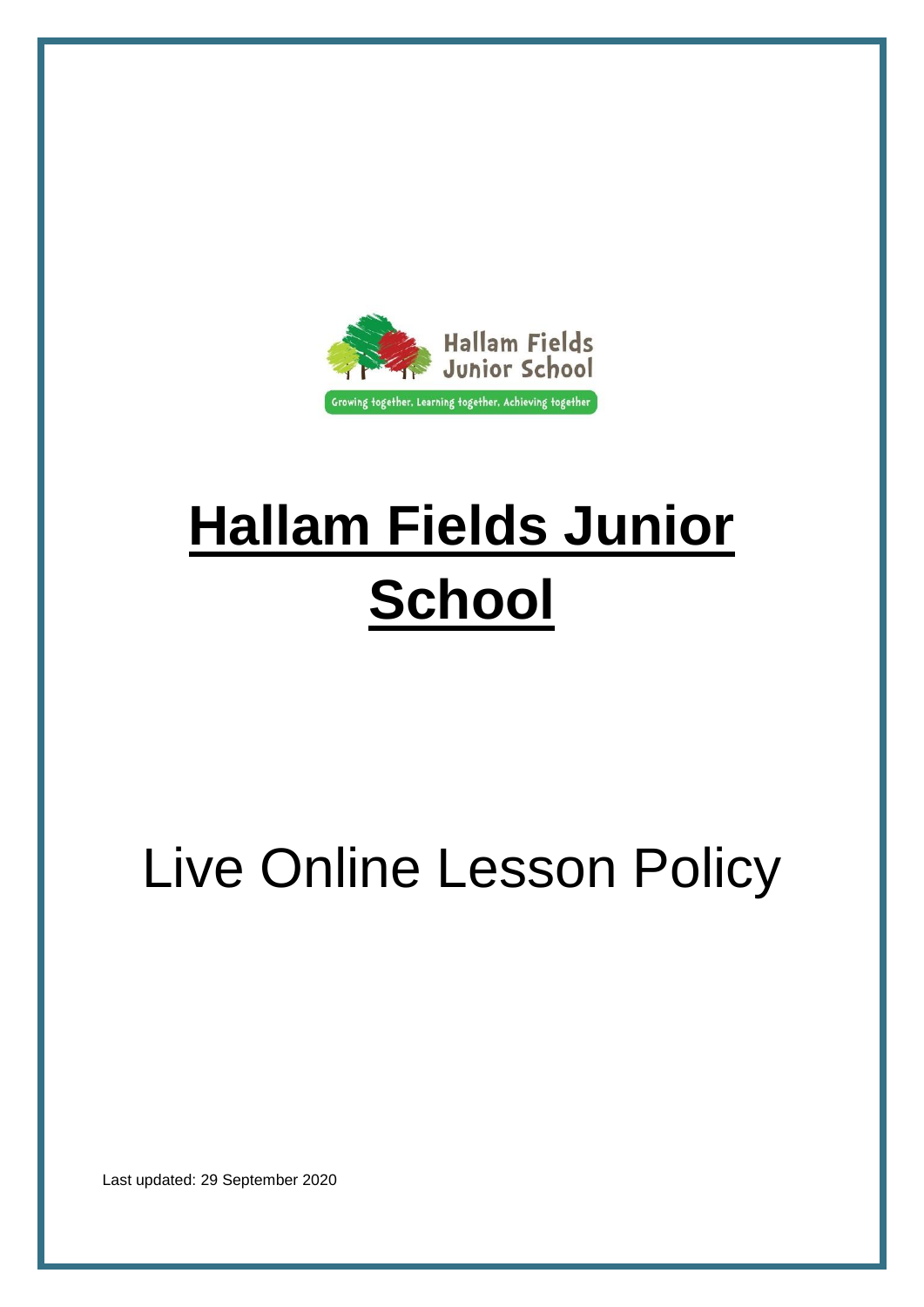

# **Hallam Fields Junior School**

## Live Online Lesson Policy

Last updated: 29 September 2020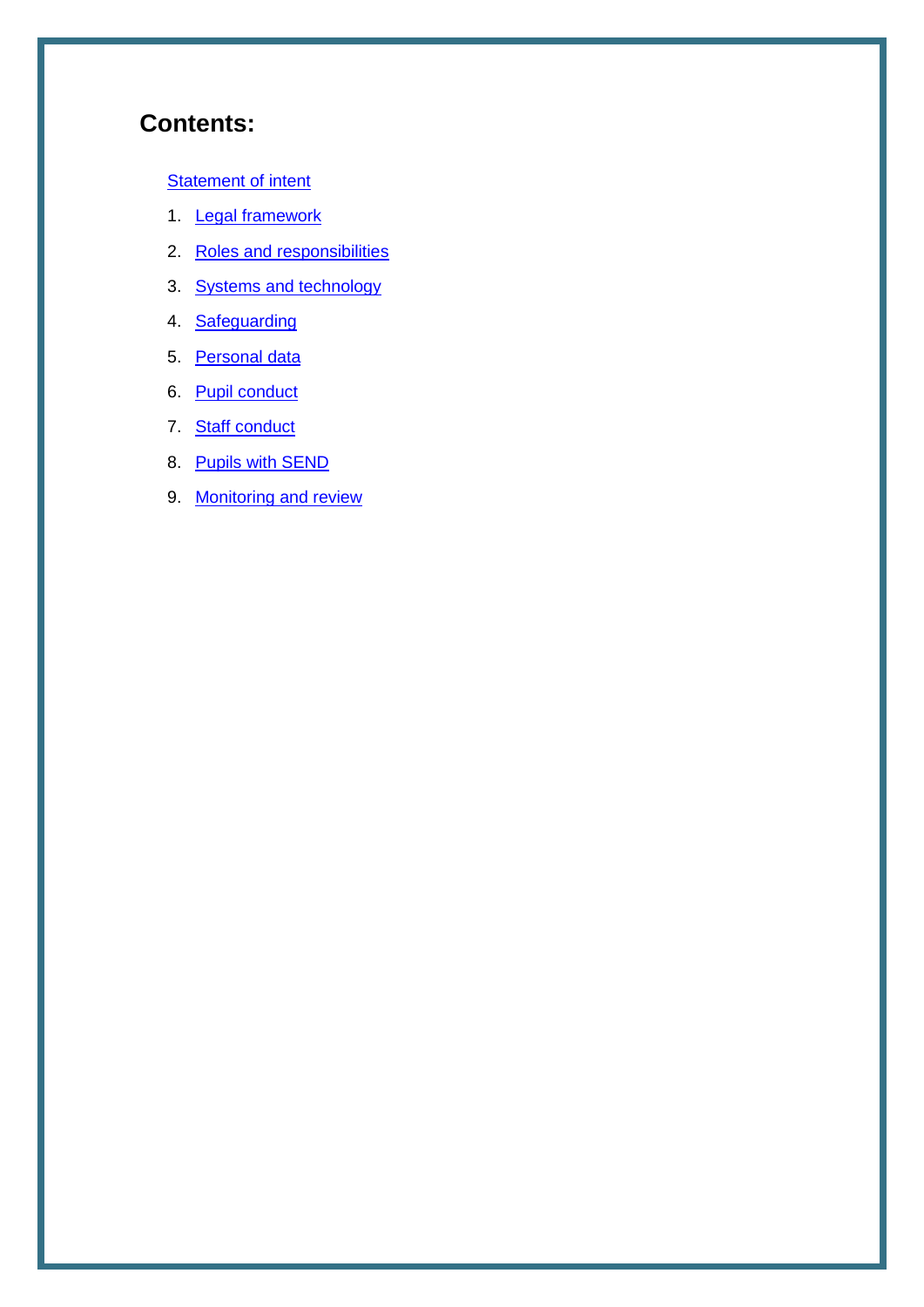## **Contents:**

#### **[Statement of intent](#page-2-0)**

- 1. **Legal framework**
- 2. [Roles and responsibilities](#page-3-1)
- 3. [Systems and technology](#page-5-0)
- 4. [Safeguarding](#page-5-1)
- 5. [Personal data](#page-6-0)
- 6. [Pupil conduct](#page-7-0)
- 7. [Staff conduct](#page-7-1)
- 8. [Pupils with SEND](#page-8-0)
- 9. [Monitoring and review](#page-8-1)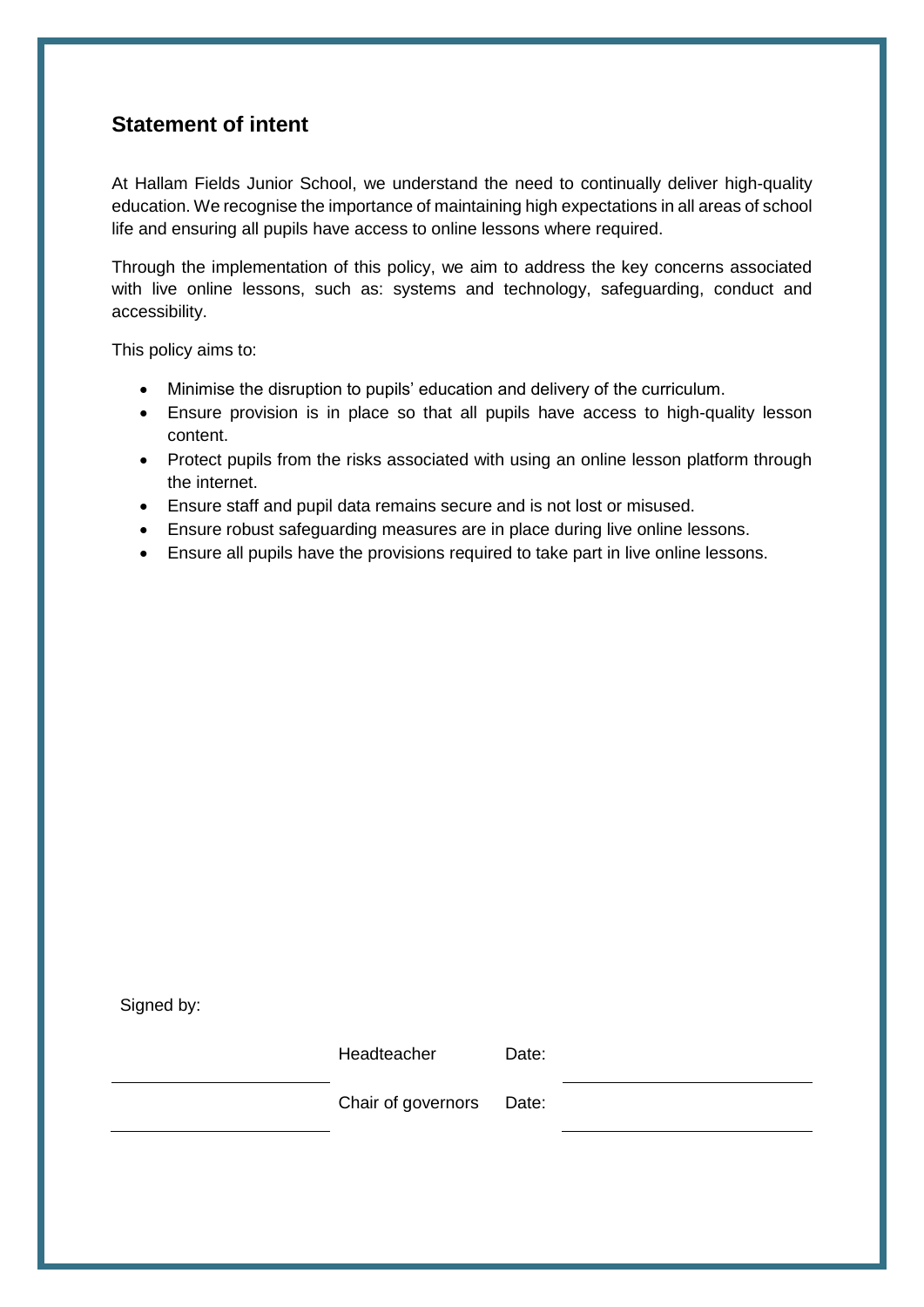## <span id="page-2-0"></span>**Statement of intent**

At Hallam Fields Junior School, we understand the need to continually deliver high-quality education. We recognise the importance of maintaining high expectations in all areas of school life and ensuring all pupils have access to online lessons where required.

Through the implementation of this policy, we aim to address the key concerns associated with live online lessons, such as: systems and technology, safeguarding, conduct and accessibility.

This policy aims to:

- Minimise the disruption to pupils' education and delivery of the curriculum.
- Ensure provision is in place so that all pupils have access to high-quality lesson content.
- Protect pupils from the risks associated with using an online lesson platform through the internet.
- Ensure staff and pupil data remains secure and is not lost or misused.
- Ensure robust safeguarding measures are in place during live online lessons.
- Ensure all pupils have the provisions required to take part in live online lessons.

Signed by:

Headteacher Date:

Chair of governors Date: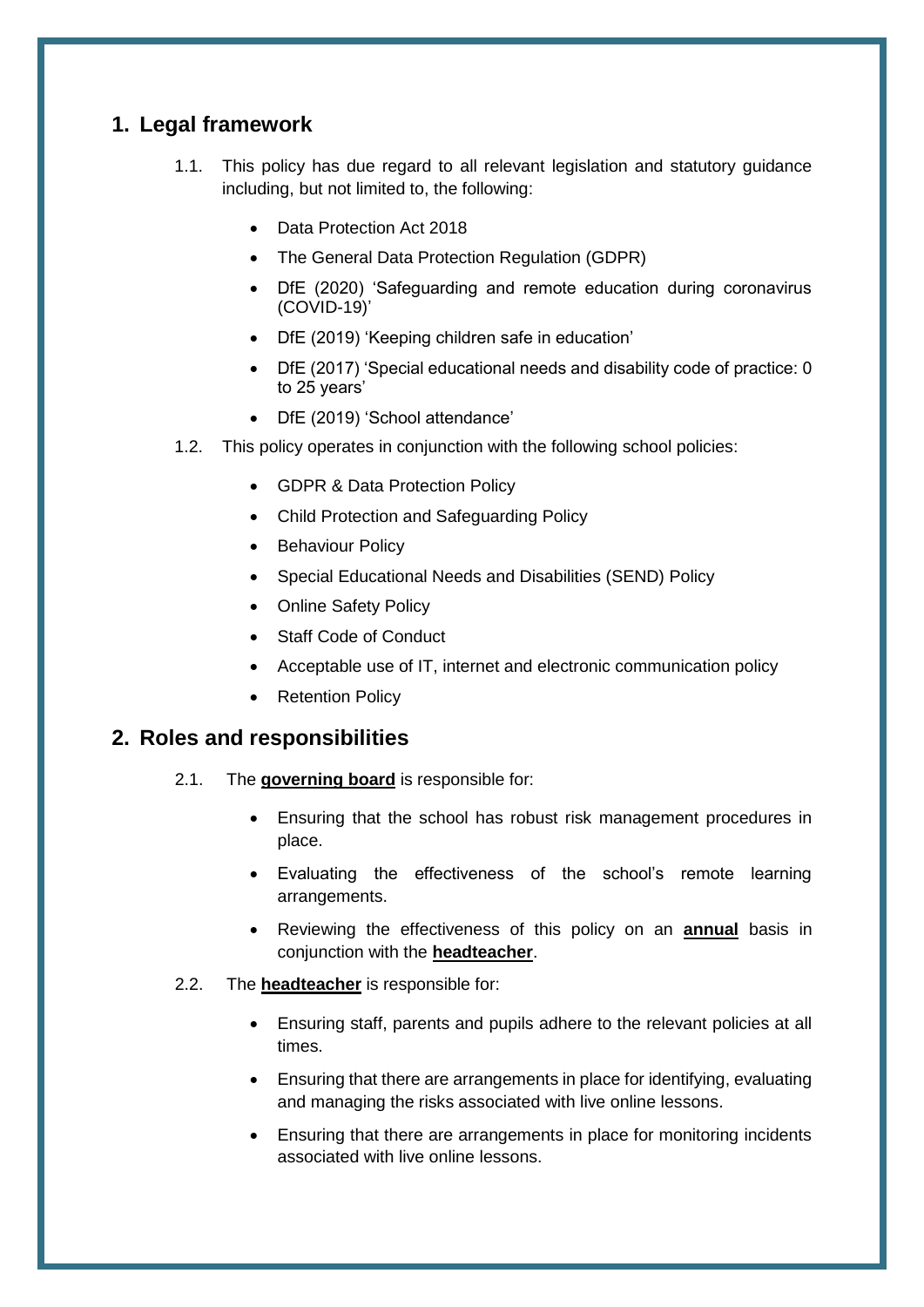## <span id="page-3-0"></span>**1. Legal framework**

- 1.1. This policy has due regard to all relevant legislation and statutory guidance including, but not limited to, the following:
	- Data Protection Act 2018
	- The General Data Protection Regulation (GDPR)
	- DfE (2020) 'Safeguarding and remote education during coronavirus (COVID-19)'
	- DfE (2019) 'Keeping children safe in education'
	- DfE (2017) 'Special educational needs and disability code of practice: 0 to 25 years'
	- DfE (2019) 'School attendance'
- 1.2. This policy operates in conjunction with the following school policies:
	- GDPR & Data Protection Policy
	- Child Protection and Safeguarding Policy
	- Behaviour Policy
	- Special Educational Needs and Disabilities (SEND) Policy
	- Online Safety Policy
	- Staff Code of Conduct
	- Acceptable use of IT, internet and electronic communication policy
	- Retention Policy

#### <span id="page-3-1"></span>**2. Roles and responsibilities**

- 2.1. The **governing board** is responsible for:
	- Ensuring that the school has robust risk management procedures in place.
	- Evaluating the effectiveness of the school's remote learning arrangements.
	- Reviewing the effectiveness of this policy on an **annual** basis in conjunction with the **headteacher**.
- 2.2. The **headteacher** is responsible for:
	- Ensuring staff, parents and pupils adhere to the relevant policies at all times.
	- Ensuring that there are arrangements in place for identifying, evaluating and managing the risks associated with live online lessons.
	- Ensuring that there are arrangements in place for monitoring incidents associated with live online lessons.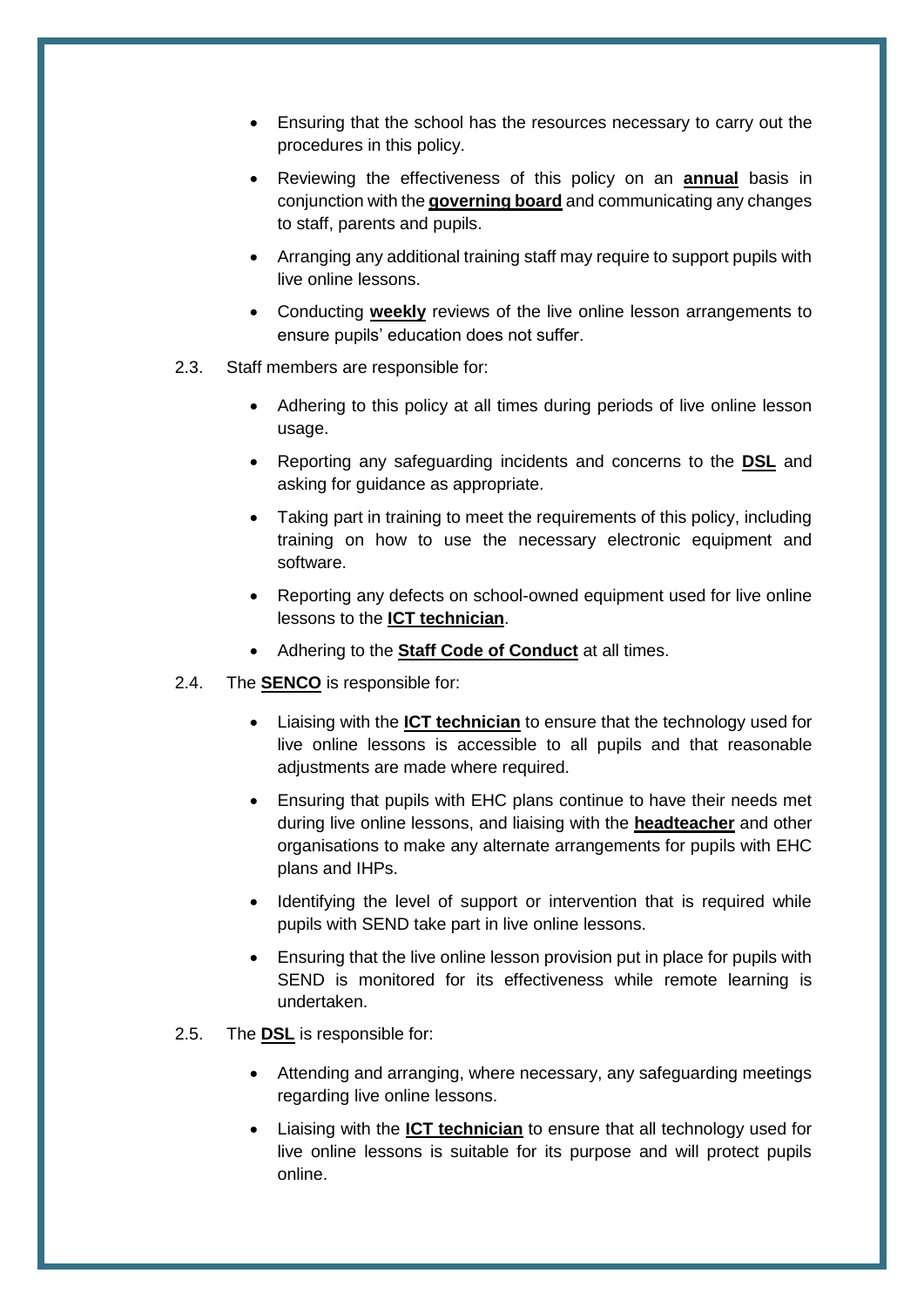- Ensuring that the school has the resources necessary to carry out the procedures in this policy.
- Reviewing the effectiveness of this policy on an **annual** basis in conjunction with the **governing board** and communicating any changes to staff, parents and pupils.
- Arranging any additional training staff may require to support pupils with live online lessons.
- Conducting **weekly** reviews of the live online lesson arrangements to ensure pupils' education does not suffer.
- 2.3. Staff members are responsible for:
	- Adhering to this policy at all times during periods of live online lesson usage.
	- Reporting any safeguarding incidents and concerns to the **DSL** and asking for guidance as appropriate.
	- Taking part in training to meet the requirements of this policy, including training on how to use the necessary electronic equipment and software.
	- Reporting any defects on school-owned equipment used for live online lessons to the **ICT technician**.
	- Adhering to the **Staff Code of Conduct** at all times.
- 2.4. The **SENCO** is responsible for:
	- Liaising with the **ICT technician** to ensure that the technology used for live online lessons is accessible to all pupils and that reasonable adjustments are made where required.
	- Ensuring that pupils with EHC plans continue to have their needs met during live online lessons, and liaising with the **headteacher** and other organisations to make any alternate arrangements for pupils with EHC plans and IHPs.
	- Identifying the level of support or intervention that is required while pupils with SEND take part in live online lessons.
	- Ensuring that the live online lesson provision put in place for pupils with SEND is monitored for its effectiveness while remote learning is undertaken.
- 2.5. The **DSL** is responsible for:
	- Attending and arranging, where necessary, any safeguarding meetings regarding live online lessons.
	- Liaising with the **ICT technician** to ensure that all technology used for live online lessons is suitable for its purpose and will protect pupils online.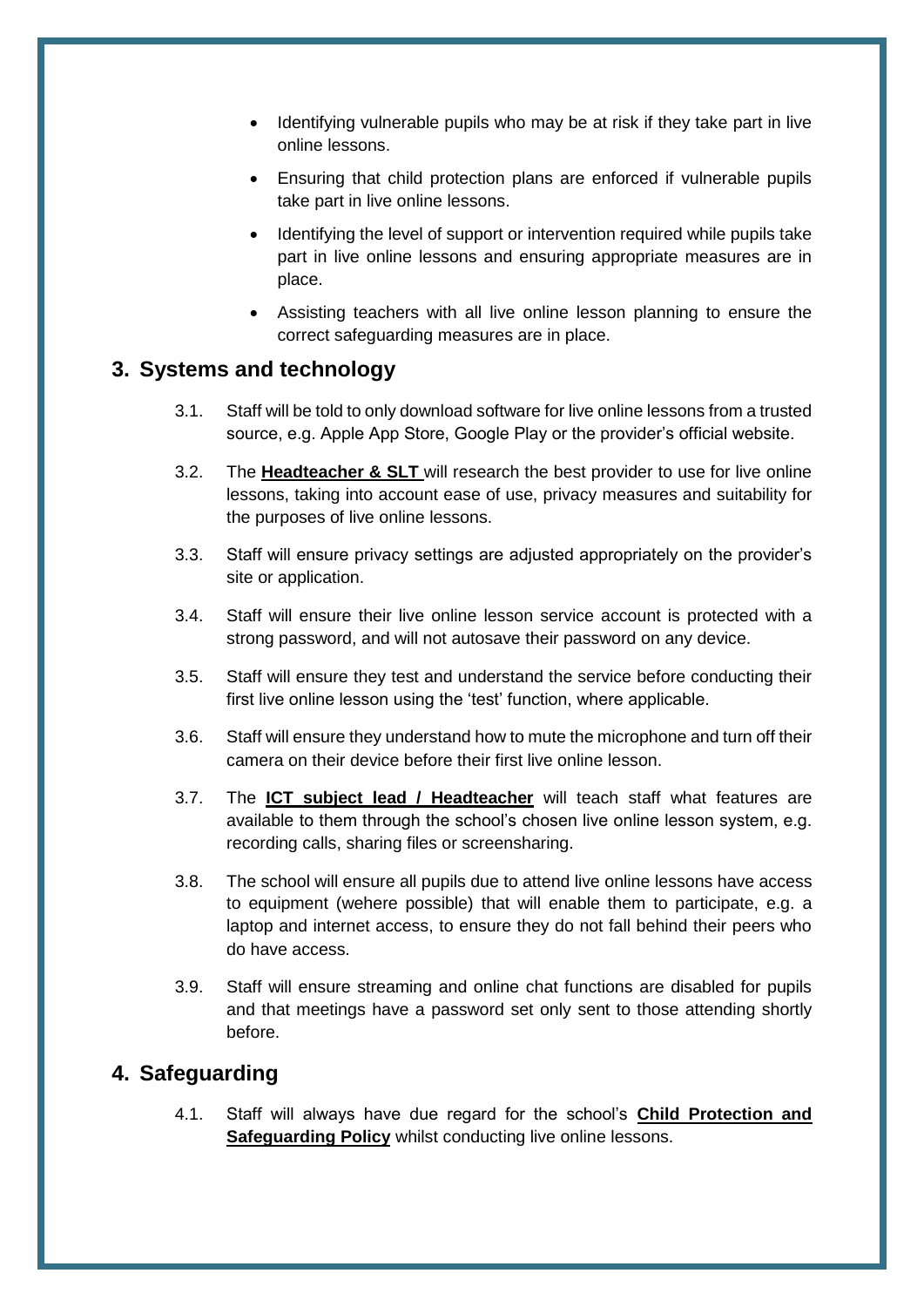- Identifying vulnerable pupils who may be at risk if they take part in live online lessons.
- Ensuring that child protection plans are enforced if vulnerable pupils take part in live online lessons.
- Identifying the level of support or intervention required while pupils take part in live online lessons and ensuring appropriate measures are in place.
- Assisting teachers with all live online lesson planning to ensure the correct safeguarding measures are in place.

## <span id="page-5-0"></span>**3. Systems and technology**

- 3.1. Staff will be told to only download software for live online lessons from a trusted source, e.g. Apple App Store, Google Play or the provider's official website.
- 3.2. The **Headteacher & SLT** will research the best provider to use for live online lessons, taking into account ease of use, privacy measures and suitability for the purposes of live online lessons.
- 3.3. Staff will ensure privacy settings are adjusted appropriately on the provider's site or application.
- 3.4. Staff will ensure their live online lesson service account is protected with a strong password, and will not autosave their password on any device.
- 3.5. Staff will ensure they test and understand the service before conducting their first live online lesson using the 'test' function, where applicable.
- 3.6. Staff will ensure they understand how to mute the microphone and turn off their camera on their device before their first live online lesson.
- 3.7. The **ICT subject lead / Headteacher** will teach staff what features are available to them through the school's chosen live online lesson system, e.g. recording calls, sharing files or screensharing.
- 3.8. The school will ensure all pupils due to attend live online lessons have access to equipment (wehere possible) that will enable them to participate, e.g. a laptop and internet access, to ensure they do not fall behind their peers who do have access.
- 3.9. Staff will ensure streaming and online chat functions are disabled for pupils and that meetings have a password set only sent to those attending shortly before.

## <span id="page-5-1"></span>**4. Safeguarding**

4.1. Staff will always have due regard for the school's **Child Protection and Safeguarding Policy** whilst conducting live online lessons.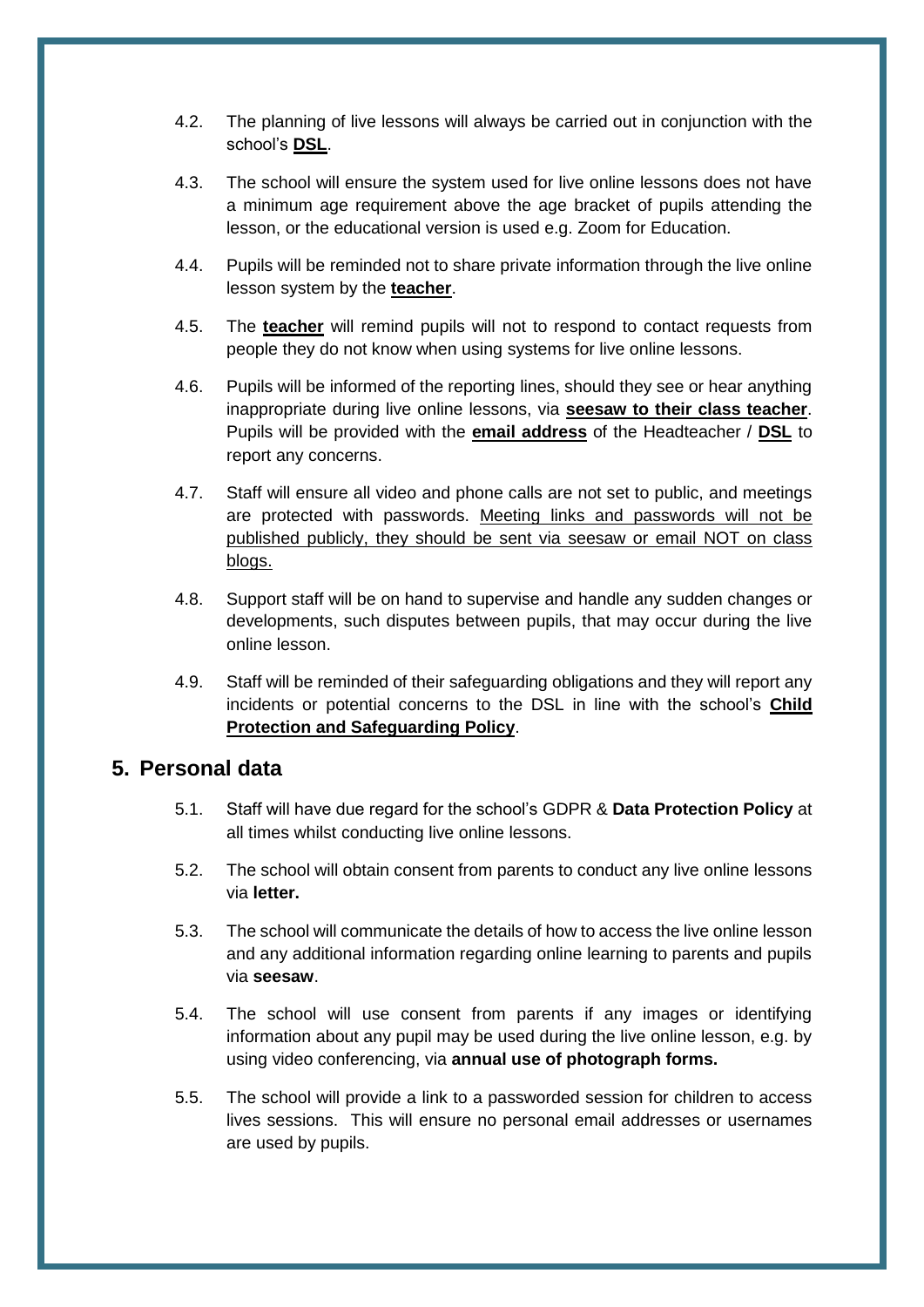- 4.2. The planning of live lessons will always be carried out in conjunction with the school's **DSL**.
- 4.3. The school will ensure the system used for live online lessons does not have a minimum age requirement above the age bracket of pupils attending the lesson, or the educational version is used e.g. Zoom for Education.
- 4.4. Pupils will be reminded not to share private information through the live online lesson system by the **teacher**.
- 4.5. The **teacher** will remind pupils will not to respond to contact requests from people they do not know when using systems for live online lessons.
- 4.6. Pupils will be informed of the reporting lines, should they see or hear anything inappropriate during live online lessons, via **seesaw to their class teacher**. Pupils will be provided with the **email address** of the Headteacher / **DSL** to report any concerns.
- 4.7. Staff will ensure all video and phone calls are not set to public, and meetings are protected with passwords. Meeting links and passwords will not be published publicly, they should be sent via seesaw or email NOT on class blogs.
- 4.8. Support staff will be on hand to supervise and handle any sudden changes or developments, such disputes between pupils, that may occur during the live online lesson.
- 4.9. Staff will be reminded of their safeguarding obligations and they will report any incidents or potential concerns to the DSL in line with the school's **Child Protection and Safeguarding Policy**.

#### <span id="page-6-0"></span>**5. Personal data**

- 5.1. Staff will have due regard for the school's GDPR & **Data Protection Policy** at all times whilst conducting live online lessons.
- 5.2. The school will obtain consent from parents to conduct any live online lessons via **letter.**
- 5.3. The school will communicate the details of how to access the live online lesson and any additional information regarding online learning to parents and pupils via **seesaw**.
- 5.4. The school will use consent from parents if any images or identifying information about any pupil may be used during the live online lesson, e.g. by using video conferencing, via **annual use of photograph forms.**
- 5.5. The school will provide a link to a passworded session for children to access lives sessions. This will ensure no personal email addresses or usernames are used by pupils.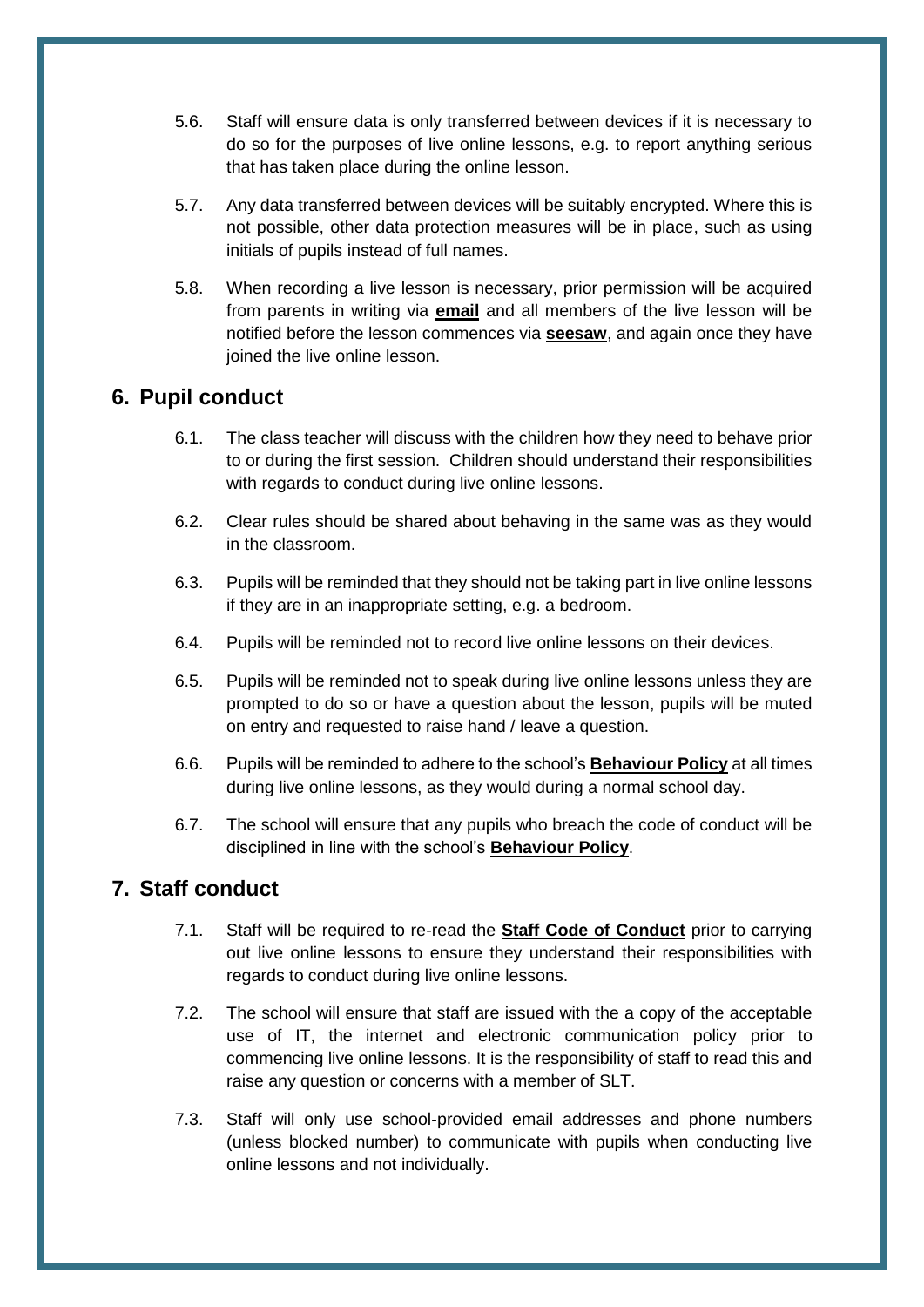- 5.6. Staff will ensure data is only transferred between devices if it is necessary to do so for the purposes of live online lessons, e.g. to report anything serious that has taken place during the online lesson.
- 5.7. Any data transferred between devices will be suitably encrypted. Where this is not possible, other data protection measures will be in place, such as using initials of pupils instead of full names.
- 5.8. When recording a live lesson is necessary, prior permission will be acquired from parents in writing via **email** and all members of the live lesson will be notified before the lesson commences via **seesaw**, and again once they have joined the live online lesson.

### <span id="page-7-0"></span>**6. Pupil conduct**

- 6.1. The class teacher will discuss with the children how they need to behave prior to or during the first session. Children should understand their responsibilities with regards to conduct during live online lessons.
- 6.2. Clear rules should be shared about behaving in the same was as they would in the classroom.
- 6.3. Pupils will be reminded that they should not be taking part in live online lessons if they are in an inappropriate setting, e.g. a bedroom.
- 6.4. Pupils will be reminded not to record live online lessons on their devices.
- 6.5. Pupils will be reminded not to speak during live online lessons unless they are prompted to do so or have a question about the lesson, pupils will be muted on entry and requested to raise hand / leave a question.
- 6.6. Pupils will be reminded to adhere to the school's **Behaviour Policy** at all times during live online lessons, as they would during a normal school day.
- 6.7. The school will ensure that any pupils who breach the code of conduct will be disciplined in line with the school's **Behaviour Policy**.

## <span id="page-7-1"></span>**7. Staff conduct**

- 7.1. Staff will be required to re-read the **Staff Code of Conduct** prior to carrying out live online lessons to ensure they understand their responsibilities with regards to conduct during live online lessons.
- 7.2. The school will ensure that staff are issued with the a copy of the acceptable use of IT, the internet and electronic communication policy prior to commencing live online lessons. It is the responsibility of staff to read this and raise any question or concerns with a member of SLT.
- 7.3. Staff will only use school-provided email addresses and phone numbers (unless blocked number) to communicate with pupils when conducting live online lessons and not individually.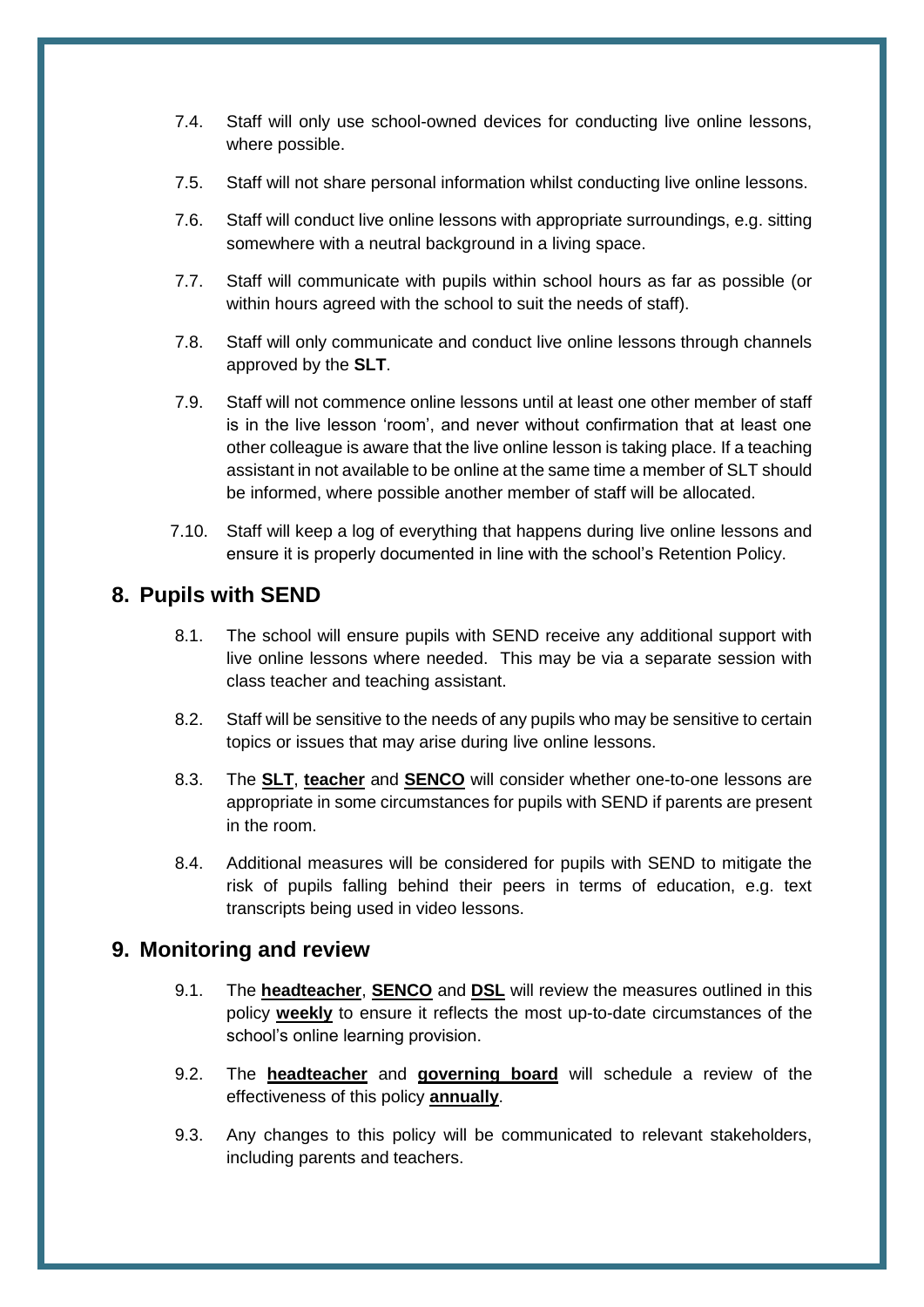- 7.4. Staff will only use school-owned devices for conducting live online lessons, where possible.
- 7.5. Staff will not share personal information whilst conducting live online lessons.
- 7.6. Staff will conduct live online lessons with appropriate surroundings, e.g. sitting somewhere with a neutral background in a living space.
- 7.7. Staff will communicate with pupils within school hours as far as possible (or within hours agreed with the school to suit the needs of staff).
- 7.8. Staff will only communicate and conduct live online lessons through channels approved by the **SLT**.
- 7.9. Staff will not commence online lessons until at least one other member of staff is in the live lesson 'room', and never without confirmation that at least one other colleague is aware that the live online lesson is taking place. If a teaching assistant in not available to be online at the same time a member of SLT should be informed, where possible another member of staff will be allocated.
- 7.10. Staff will keep a log of everything that happens during live online lessons and ensure it is properly documented in line with the school's Retention Policy.

### <span id="page-8-0"></span>**8. Pupils with SEND**

- 8.1. The school will ensure pupils with SEND receive any additional support with live online lessons where needed. This may be via a separate session with class teacher and teaching assistant.
- 8.2. Staff will be sensitive to the needs of any pupils who may be sensitive to certain topics or issues that may arise during live online lessons.
- 8.3. The **SLT**, **teacher** and **SENCO** will consider whether one-to-one lessons are appropriate in some circumstances for pupils with SEND if parents are present in the room.
- 8.4. Additional measures will be considered for pupils with SEND to mitigate the risk of pupils falling behind their peers in terms of education, e.g. text transcripts being used in video lessons.

#### <span id="page-8-1"></span>**9. Monitoring and review**

- 9.1. The **headteacher**, **SENCO** and **DSL** will review the measures outlined in this policy **weekly** to ensure it reflects the most up-to-date circumstances of the school's online learning provision.
- 9.2. The **headteacher** and **governing board** will schedule a review of the effectiveness of this policy **annually**.
- 9.3. Any changes to this policy will be communicated to relevant stakeholders, including parents and teachers.